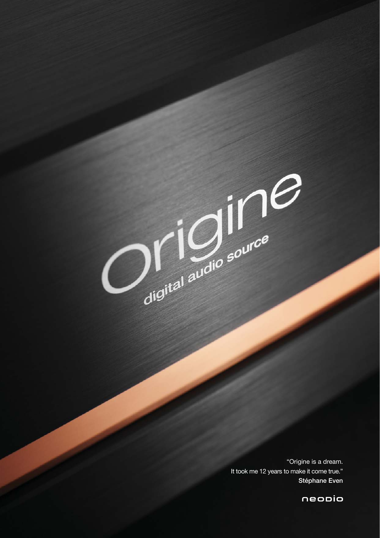

Original audio source

neopio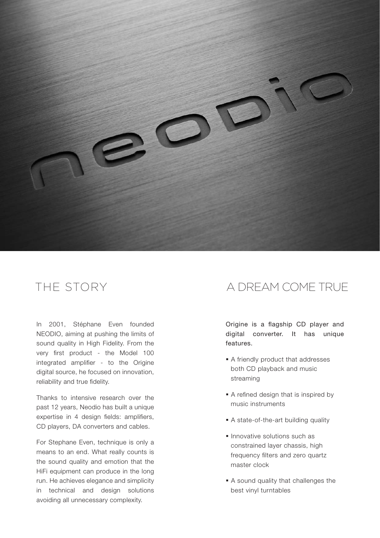

In 2001, Stéphane Even founded NEODIO, aiming at pushing the limits of sound quality in High Fidelity. From the very first product - the Model 100 integrated amplifier - to the Origine digital source, he focused on innovation, reliability and true fidelity.

Thanks to intensive research over the past 12 years, Neodio has built a unique expertise in 4 design fields: amplifiers, CD players, DA converters and cables.

For Stephane Even, technique is only a means to an end. What really counts is the sound quality and emotion that the HiFi equipment can produce in the long run. He achieves elegance and simplicity in technical and design solutions avoiding all unnecessary complexity.

## THE STORY A DREAM COME TRUE

Origine is a flagship CD player and digital converter. It has unique features.

- A friendly product that addresses both CD playback and music streaming
- A refined design that is inspired by music instruments
- A state-of-the-art building quality
- **Innovative solutions such as** constrained layer chassis, high frequency filters and zero quartz master clock
- A sound quality that challenges the best vinyl turntables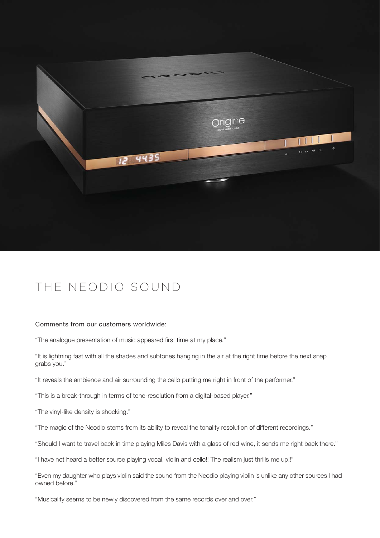

# THE NEODIO SOUND

#### Comments from our customers worldwide:

"The analogue presentation of music appeared first time at my place."

"It is lightning fast with all the shades and subtones hanging in the air at the right time before the next snap grabs you."

"It reveals the ambience and air surrounding the cello putting me right in front of the performer."

"This is a break-through in terms of tone-resolution from a digital-based player."

"The vinyl-like density is shocking."

"The magic of the Neodio stems from its ability to reveal the tonality resolution of different recordings."

"Should I want to travel back in time playing Miles Davis with a glass of red wine, it sends me right back there."

"I have not heard a better source playing vocal, violin and cello!! The realism just thrills me up!!"

"Even my daughter who plays violin said the sound from the Neodio playing violin is unlike any other sources I had owned before."

"Musicality seems to be newly discovered from the same records over and over."